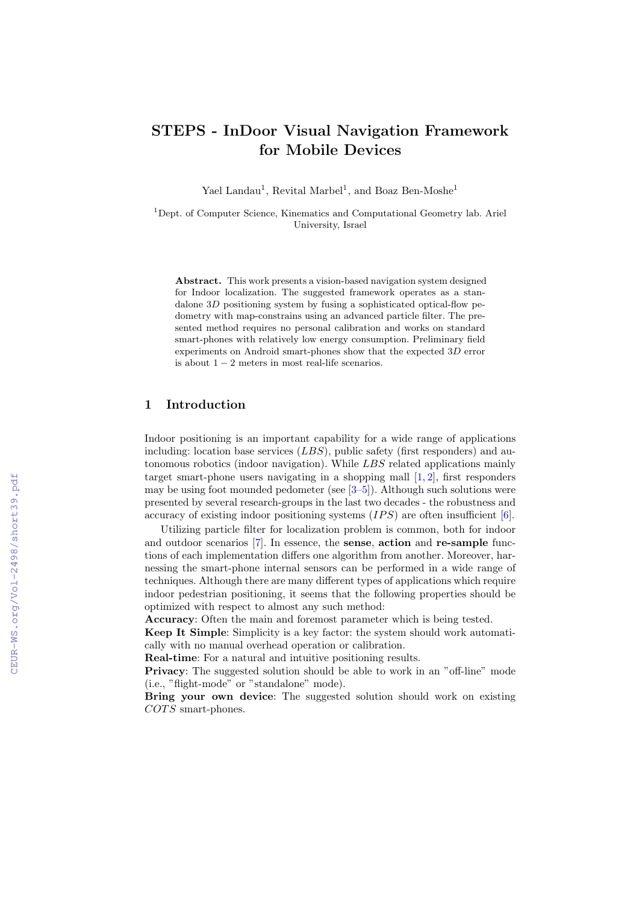# STEPS - InDoor Visual Navigation Framework for Mobile Devices

Yael Landau<sup>1</sup>, Revital Marbel<sup>1</sup>, and Boaz Ben-Moshe<sup>1</sup>

<sup>1</sup>Dept. of Computer Science, Kinematics and Computational Geometry lab. Ariel University, Israel

Abstract. This work presents a vision-based navigation system designed for Indoor localization. The suggested framework operates as a standalone 3D positioning system by fusing a sophisticated optical-flow pedometry with map-constrains using an advanced particle filter. The presented method requires no personal calibration and works on standard smart-phones with relatively low energy consumption. Preliminary field experiments on Android smart-phones show that the expected 3D error is about  $1 - 2$  meters in most real-life scenarios.

# 1 Introduction

Indoor positioning is an important capability for a wide range of applications including: location base services  $(LBS)$ , public safety (first responders) and autonomous robotics (indoor navigation). While LBS related applications mainly target smart-phone users navigating in a shopping mall  $[1, 2]$  $[1, 2]$  $[1, 2]$ , first responders may be using foot mounded pedometer (see  $[3-5]$  $[3-5]$ ). Although such solutions were presented by several research-groups in the last two decades - the robustness and accuracy of existing indoor positioning systems  $(IPS)$  are often insufficient [\[6\]](#page--1-4).

Utilizing particle filter for localization problem is common, both for indoor and outdoor scenarios [\[7\]](#page--1-5). In essence, the sense, action and re-sample functions of each implementation differs one algorithm from another. Moreover, harnessing the smart-phone internal sensors can be performed in a wide range of techniques. Although there are many different types of applications which require indoor pedestrian positioning, it seems that the following properties should be optimized with respect to almost any such method:

Accuracy: Often the main and foremost parameter which is being tested.

Keep It Simple: Simplicity is a key factor: the system should work automatically with no manual overhead operation or calibration.

Real-time: For a natural and intuitive positioning results.

Privacy: The suggested solution should be able to work in an "off-line" mode (i.e., "flight-mode" or "standalone" mode).

Bring your own device: The suggested solution should work on existing  $COTS$  smart-phones.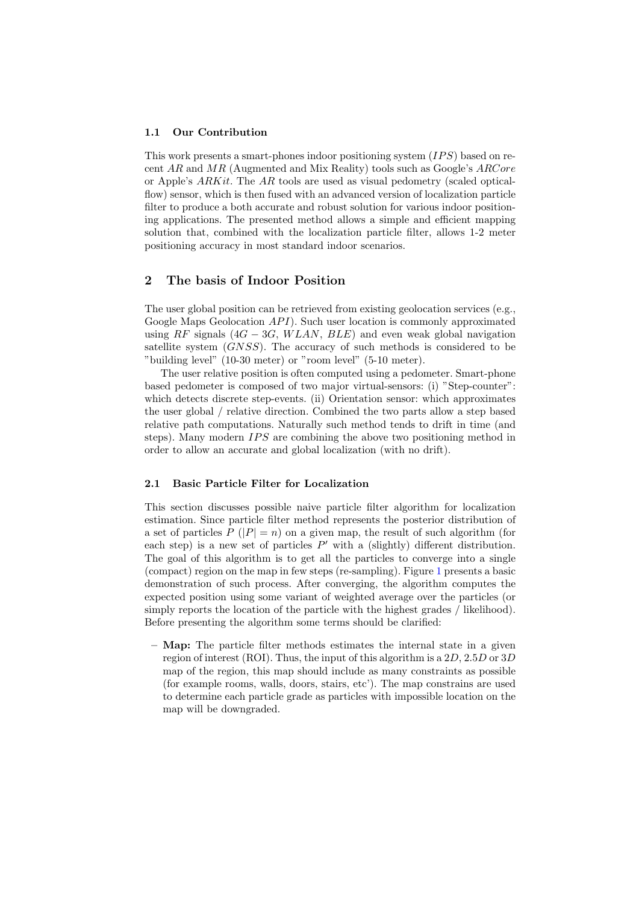#### 1.1 Our Contribution

This work presents a smart-phones indoor positioning system  $(IPS)$  based on recent  $AR$  and  $MR$  (Augmented and Mix Reality) tools such as Google's  $ARCore$ or Apple's ARKit. The AR tools are used as visual pedometry (scaled opticalflow) sensor, which is then fused with an advanced version of localization particle filter to produce a both accurate and robust solution for various indoor positioning applications. The presented method allows a simple and efficient mapping solution that, combined with the localization particle filter, allows 1-2 meter positioning accuracy in most standard indoor scenarios.

## 2 The basis of Indoor Position

The user global position can be retrieved from existing geolocation services (e.g., Google Maps Geolocation  $API$ ). Such user location is commonly approximated using RF signals  $(4G - 3G, WLAN, BLE)$  and even weak global navigation satellite system (GNSS). The accuracy of such methods is considered to be "building level" (10-30 meter) or "room level" (5-10 meter).

The user relative position is often computed using a pedometer. Smart-phone based pedometer is composed of two major virtual-sensors: (i) "Step-counter": which detects discrete step-events. (ii) Orientation sensor: which approximates the user global / relative direction. Combined the two parts allow a step based relative path computations. Naturally such method tends to drift in time (and steps). Many modern  $IPS$  are combining the above two positioning method in order to allow an accurate and global localization (with no drift).

#### 2.1 Basic Particle Filter for Localization

This section discusses possible naive particle filter algorithm for localization estimation. Since particle filter method represents the posterior distribution of a set of particles  $P(|P|=n)$  on a given map, the result of such algorithm (for each step) is a new set of particles  $P'$  with a (slightly) different distribution. The goal of this algorithm is to get all the particles to converge into a single (compact) region on the map in few steps (re-sampling). Figure [1](#page-3-0) presents a basic demonstration of such process. After converging, the algorithm computes the expected position using some variant of weighted average over the particles (or simply reports the location of the particle with the highest grades / likelihood). Before presenting the algorithm some terms should be clarified:

 $-$  **Map:** The particle filter methods estimates the internal state in a given region of interest (ROI). Thus, the input of this algorithm is a  $2D$ ,  $2.5D$  or  $3D$ map of the region, this map should include as many constraints as possible (for example rooms, walls, doors, stairs, etc'). The map constrains are used to determine each particle grade as particles with impossible location on the map will be downgraded.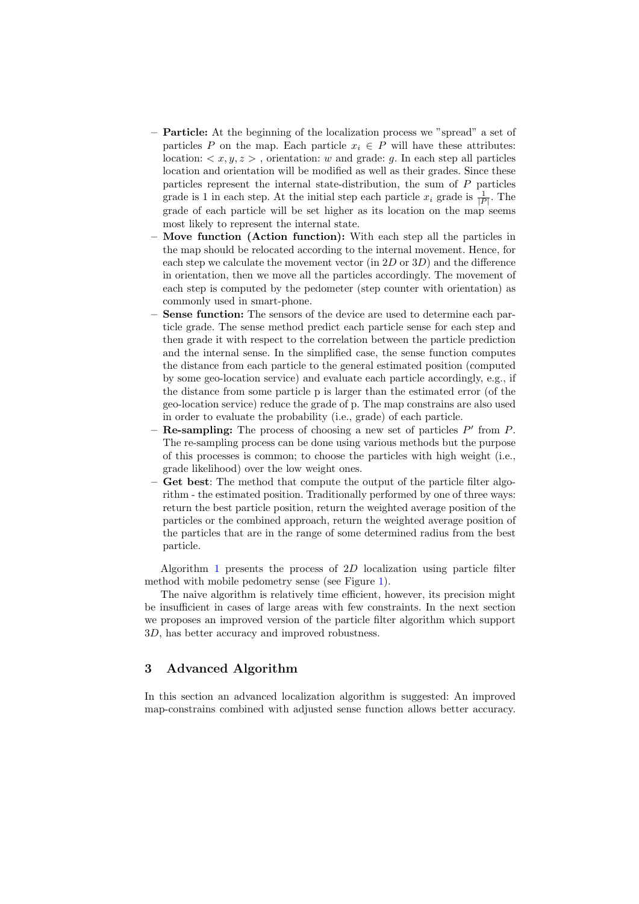- Particle: At the beginning of the localization process we "spread" a set of particles P on the map. Each particle  $x_i \in P$  will have these attributes: location:  $\langle x, y, z \rangle$ , orientation: w and grade: g. In each step all particles location and orientation will be modified as well as their grades. Since these particles represent the internal state-distribution, the sum of P particles grade is 1 in each step. At the initial step each particle  $x_i$  grade is  $\frac{1}{|P|}$ . The grade of each particle will be set higher as its location on the map seems most likely to represent the internal state.
- Move function (Action function): With each step all the particles in the map should be relocated according to the internal movement. Hence, for each step we calculate the movement vector (in  $2D$  or  $3D$ ) and the difference in orientation, then we move all the particles accordingly. The movement of each step is computed by the pedometer (step counter with orientation) as commonly used in smart-phone.
- Sense function: The sensors of the device are used to determine each particle grade. The sense method predict each particle sense for each step and then grade it with respect to the correlation between the particle prediction and the internal sense. In the simplified case, the sense function computes the distance from each particle to the general estimated position (computed by some geo-location service) and evaluate each particle accordingly, e.g., if the distance from some particle p is larger than the estimated error (of the geo-location service) reduce the grade of p. The map constrains are also used in order to evaluate the probability (i.e., grade) of each particle.
- Re-sampling: The process of choosing a new set of particles  $P'$  from  $P$ . The re-sampling process can be done using various methods but the purpose of this processes is common; to choose the particles with high weight (i.e., grade likelihood) over the low weight ones.
- Get best: The method that compute the output of the particle filter algorithm - the estimated position. Traditionally performed by one of three ways: return the best particle position, return the weighted average position of the particles or the combined approach, return the weighted average position of the particles that are in the range of some determined radius from the best particle.

Algorithm [1](#page-3-1) presents the process of 2D localization using particle filter method with mobile pedometry sense (see Figure [1\)](#page-3-0).

The naive algorithm is relatively time efficient, however, its precision might be insufficient in cases of large areas with few constraints. In the next section we proposes an improved version of the particle filter algorithm which support 3D, has better accuracy and improved robustness.

# 3 Advanced Algorithm

In this section an advanced localization algorithm is suggested: An improved map-constrains combined with adjusted sense function allows better accuracy.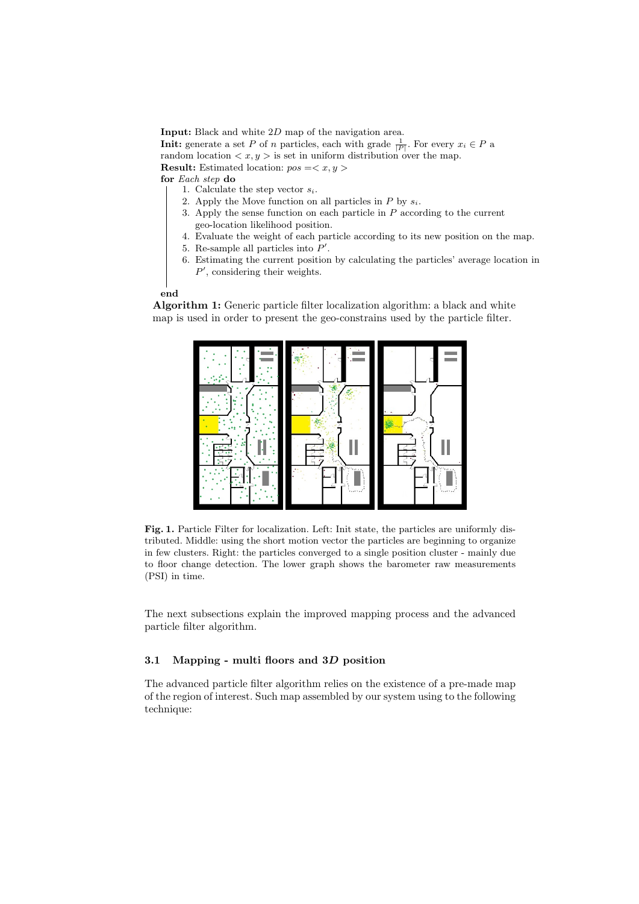Input: Black and white 2D map of the navigation area. **Init:** generate a set P of n particles, each with grade  $\frac{1}{|P|}$ . For every  $x_i \in P$  a random location  $\langle x, y \rangle$  is set in uniform distribution over the map. **Result:** Estimated location:  $pos =$ 

for Each step do

- 1. Calculate the step vector  $s_i$ .
- 2. Apply the Move function on all particles in  $P$  by  $s_i$ .
- 3. Apply the sense function on each particle in P according to the current geo-location likelihood position.
- 4. Evaluate the weight of each particle according to its new position on the map.
- 5. Re-sample all particles into  $P'$ .
- <span id="page-3-1"></span>6. Estimating the current position by calculating the particles' average location in  $P'$ , considering their weights.

#### end

Algorithm 1: Generic particle filter localization algorithm: a black and white map is used in order to present the geo-constrains used by the particle filter.



<span id="page-3-0"></span>Fig. 1. Particle Filter for localization. Left: Init state, the particles are uniformly distributed. Middle: using the short motion vector the particles are beginning to organize in few clusters. Right: the particles converged to a single position cluster - mainly due to floor change detection. The lower graph shows the barometer raw measurements (PSI) in time.

The next subsections explain the improved mapping process and the advanced particle filter algorithm.

## 3.1 Mapping - multi floors and 3D position

The advanced particle filter algorithm relies on the existence of a pre-made map of the region of interest. Such map assembled by our system using to the following technique: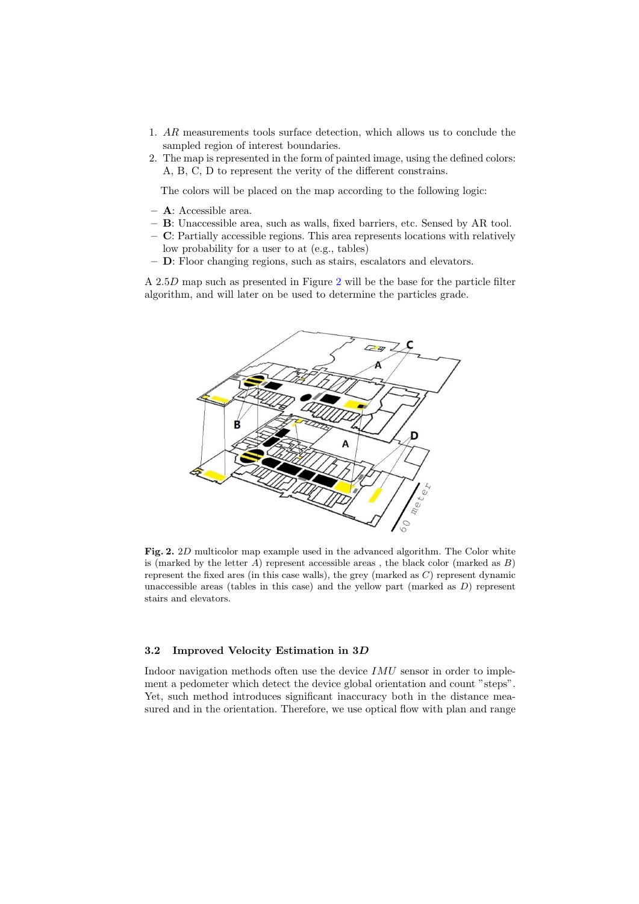- 1. AR measurements tools surface detection, which allows us to conclude the sampled region of interest boundaries.
- 2. The map is represented in the form of painted image, using the defined colors: A, B, C, D to represent the verity of the different constrains.

The colors will be placed on the map according to the following logic:

- A: Accessible area.
- B: Unaccessible area, such as walls, fixed barriers, etc. Sensed by AR tool.
- C: Partially accessible regions. This area represents locations with relatively low probability for a user to at (e.g., tables)
- D: Floor changing regions, such as stairs, escalators and elevators.

A 2.5D map such as presented in Figure [2](#page-4-0) will be the base for the particle filter algorithm, and will later on be used to determine the particles grade.



<span id="page-4-0"></span>Fig. 2. 2D multicolor map example used in the advanced algorithm. The Color white is (marked by the letter  $A$ ) represent accessible areas, the black color (marked as  $B$ ) represent the fixed ares (in this case walls), the grey (marked as  $C$ ) represent dynamic unaccessible areas (tables in this case) and the yellow part (marked as  $D$ ) represent stairs and elevators.

## 3.2 Improved Velocity Estimation in 3D

Indoor navigation methods often use the device  $IMU$  sensor in order to implement a pedometer which detect the device global orientation and count "steps". Yet, such method introduces significant inaccuracy both in the distance measured and in the orientation. Therefore, we use optical flow with plan and range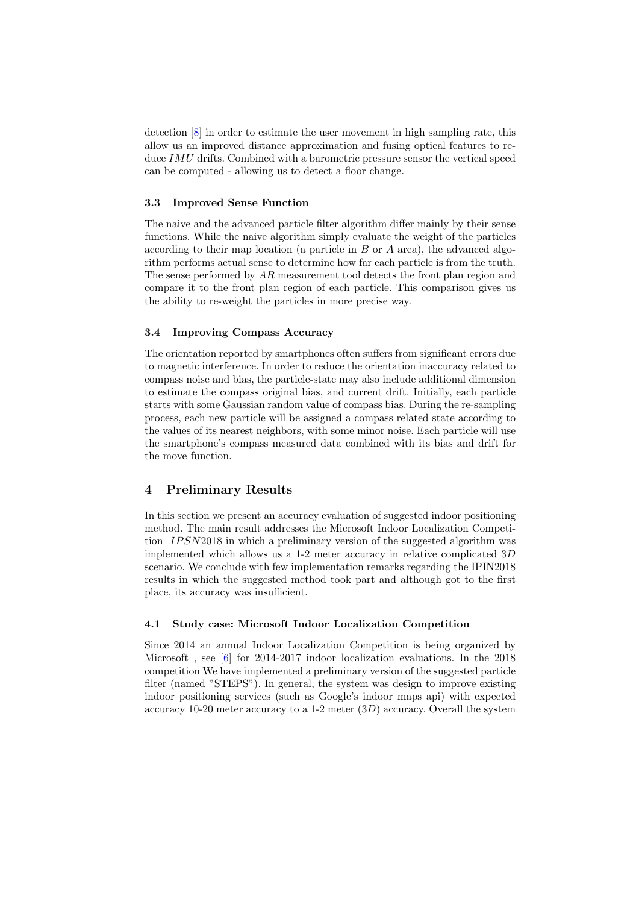detection [\[8\]](#page-7-0) in order to estimate the user movement in high sampling rate, this allow us an improved distance approximation and fusing optical features to reduce IMU drifts. Combined with a barometric pressure sensor the vertical speed can be computed - allowing us to detect a floor change.

#### 3.3 Improved Sense Function

The naive and the advanced particle filter algorithm differ mainly by their sense functions. While the naive algorithm simply evaluate the weight of the particles according to their map location (a particle in  $B$  or  $A$  area), the advanced algorithm performs actual sense to determine how far each particle is from the truth. The sense performed by AR measurement tool detects the front plan region and compare it to the front plan region of each particle. This comparison gives us the ability to re-weight the particles in more precise way.

## 3.4 Improving Compass Accuracy

The orientation reported by smartphones often suffers from significant errors due to magnetic interference. In order to reduce the orientation inaccuracy related to compass noise and bias, the particle-state may also include additional dimension to estimate the compass original bias, and current drift. Initially, each particle starts with some Gaussian random value of compass bias. During the re-sampling process, each new particle will be assigned a compass related state according to the values of its nearest neighbors, with some minor noise. Each particle will use the smartphone's compass measured data combined with its bias and drift for the move function.

# 4 Preliminary Results

In this section we present an accuracy evaluation of suggested indoor positioning method. The main result addresses the Microsoft Indoor Localization Competition *IPSN*2018 in which a preliminary version of the suggested algorithm was implemented which allows us a 1-2 meter accuracy in relative complicated  $3D$ scenario. We conclude with few implementation remarks regarding the IPIN2018 results in which the suggested method took part and although got to the first place, its accuracy was insufficient.

## 4.1 Study case: Microsoft Indoor Localization Competition

Since 2014 an annual Indoor Localization Competition is being organized by Microsoft , see [\[6\]](#page-7-1) for 2014-2017 indoor localization evaluations. In the 2018 competition We have implemented a preliminary version of the suggested particle filter (named "STEPS"). In general, the system was design to improve existing indoor positioning services (such as Google's indoor maps api) with expected accuracy 10-20 meter accuracy to a 1-2 meter  $(3D)$  accuracy. Overall the system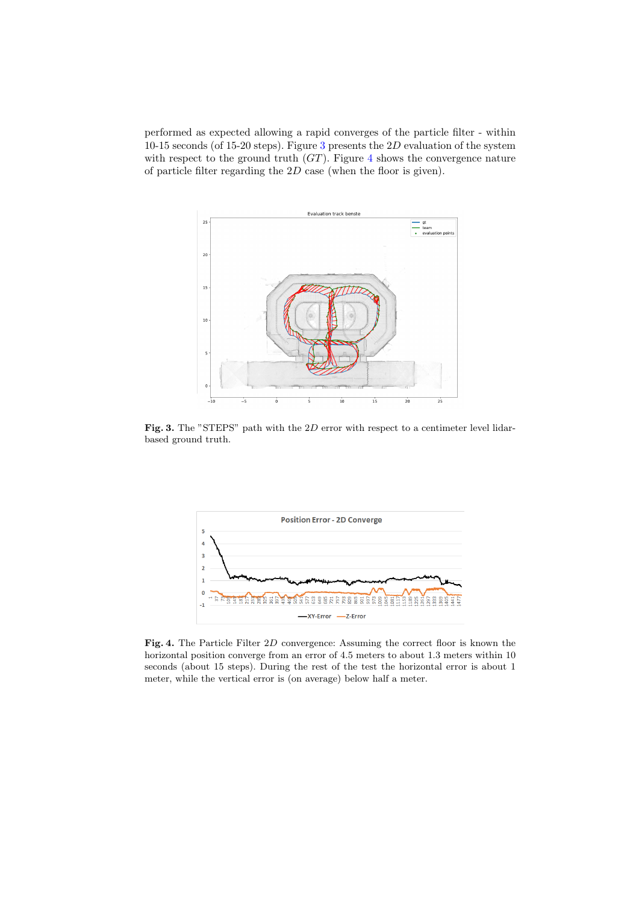performed as expected allowing a rapid converges of the particle filter - within 10-15 seconds (of 15-20 steps). Figure [3](#page-6-0) presents the  $2D$  evaluation of the system with respect to the ground truth  $(GT)$ . Figure [4](#page-6-1) shows the convergence nature of particle filter regarding the 2D case (when the floor is given).



<span id="page-6-0"></span>Fig. 3. The "STEPS" path with the 2D error with respect to a centimeter level lidarbased ground truth.



<span id="page-6-1"></span>Fig. 4. The Particle Filter 2D convergence: Assuming the correct floor is known the horizontal position converge from an error of 4.5 meters to about 1.3 meters within 10 seconds (about 15 steps). During the rest of the test the horizontal error is about 1 meter, while the vertical error is (on average) below half a meter.